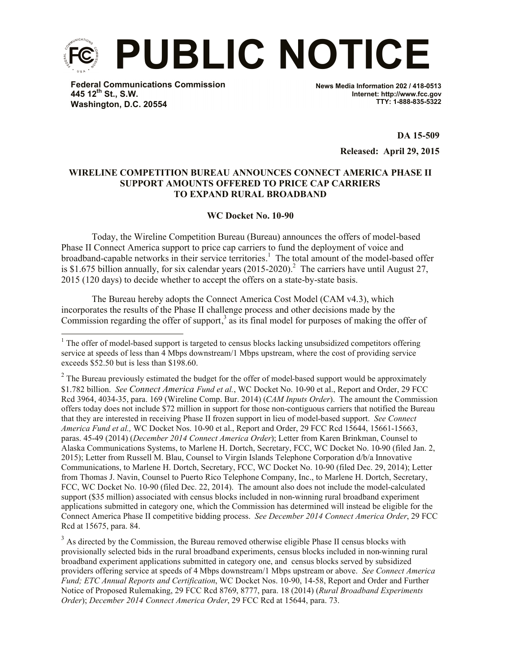

**Federal Communications Commission 445 12th St., S.W. Washington, D.C. 20554**

l

**News Media Information 202 / 418-0513 Internet: http://www.fcc.gov TTY: 1-888-835-5322**

> **DA 15-509 Released: April 29, 2015**

## **WIRELINE COMPETITION BUREAU ANNOUNCES CONNECT AMERICA PHASE II SUPPORT AMOUNTS OFFERED TO PRICE CAP CARRIERS TO EXPAND RURAL BROADBAND**

## **WC Docket No. 10-90**

Today, the Wireline Competition Bureau (Bureau) announces the offers of model-based Phase II Connect America support to price cap carriers to fund the deployment of voice and broadband-capable networks in their service territories. 1 The total amount of the model-based offer is \$1.675 billion annually, for six calendar years  $(2015-2020)$ .<sup>2</sup> The carriers have until August 27, 2015 (120 days) to decide whether to accept the offers on a state-by-state basis.

The Bureau hereby adopts the Connect America Cost Model (CAM v4.3), which incorporates the results of the Phase II challenge process and other decisions made by the Commission regarding the offer of support,<sup>3</sup> as its final model for purposes of making the offer of

<sup>3</sup> As directed by the Commission, the Bureau removed otherwise eligible Phase II census blocks with provisionally selected bids in the rural broadband experiments, census blocks included in non-winning rural broadband experiment applications submitted in category one, and census blocks served by subsidized providers offering service at speeds of 4 Mbps downstream/1 Mbps upstream or above. *See Connect America Fund; ETC Annual Reports and Certification*, WC Docket Nos. 10-90, 14-58, Report and Order and Further Notice of Proposed Rulemaking, 29 FCC Rcd 8769, 8777, para. 18 (2014) (*Rural Broadband Experiments Order*); *December 2014 Connect America Order*, 29 FCC Rcd at 15644, para. 73.

 $1$  The offer of model-based support is targeted to census blocks lacking unsubsidized competitors offering service at speeds of less than 4 Mbps downstream/1 Mbps upstream, where the cost of providing service exceeds \$52.50 but is less than \$198.60.

 $2^2$  The Bureau previously estimated the budget for the offer of model-based support would be approximately \$1.782 billion. *See Connect America Fund et al.*, WC Docket No. 10-90 et al., Report and Order, 29 FCC Rcd 3964, 4034-35, para. 169 (Wireline Comp. Bur. 2014) (*CAM Inputs Order*). The amount the Commission offers today does not include \$72 million in support for those non-contiguous carriers that notified the Bureau that they are interested in receiving Phase II frozen support in lieu of model-based support. *See Connect America Fund et al.,* WC Docket Nos. 10-90 et al., Report and Order, 29 FCC Rcd 15644, 15661-15663, paras. 45-49 (2014) (*December 2014 Connect America Order*); Letter from Karen Brinkman, Counsel to Alaska Communications Systems, to Marlene H. Dortch, Secretary, FCC, WC Docket No. 10-90 (filed Jan. 2, 2015); Letter from Russell M. Blau, Counsel to Virgin Islands Telephone Corporation d/b/a Innovative Communications, to Marlene H. Dortch, Secretary, FCC, WC Docket No. 10-90 (filed Dec. 29, 2014); Letter from Thomas J. Navin, Counsel to Puerto Rico Telephone Company, Inc., to Marlene H. Dortch, Secretary, FCC, WC Docket No. 10-90 (filed Dec. 22, 2014). The amount also does not include the model-calculated support (\$35 million) associated with census blocks included in non-winning rural broadband experiment applications submitted in category one, which the Commission has determined will instead be eligible for the Connect America Phase II competitive bidding process. *See December 2014 Connect America Order*, 29 FCC Rcd at 15675, para. 84.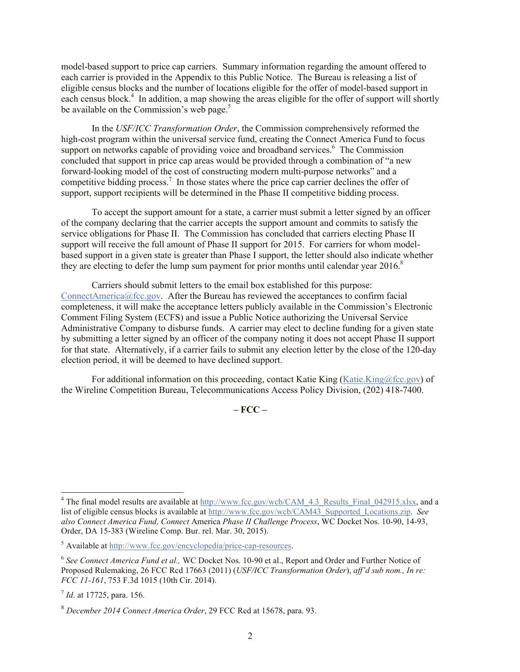model-based support to price cap carriers. Summary information regarding the amount offered to each carrier is provided in the Appendix to this Public Notice. The Bureau is releasing a list of eligible census blocks and the number of locations eligible for the offer of model-based support in each census block.<sup>4</sup> In addition, a map showing the areas eligible for the offer of support will shortly be available on the Commission's web page. $5$ 

In the *USF/ICC Transformation Order*, the Commission comprehensively reformed the high-cost program within the universal service fund, creating the Connect America Fund to focus support on networks capable of providing voice and broadband services.<sup>6</sup> The Commission concluded that support in price cap areas would be provided through a combination of "a new forward-looking model of the cost of constructing modern multi-purpose networks" and a competitive bidding process.<sup>7</sup> In those states where the price cap carrier declines the offer of support, support recipients will be determined in the Phase II competitive bidding process.

To accept the support amount for a state, a carrier must submit a letter signed by an officer of the company declaring that the carrier accepts the support amount and commits to satisfy the service obligations for Phase II. The Commission has concluded that carriers electing Phase II support will receive the full amount of Phase II support for 2015. For carriers for whom modelbased support in a given state is greater than Phase I support, the letter should also indicate whether they are electing to defer the lump sum payment for prior months until calendar year 2016.<sup>8</sup>

Carriers should submit letters to the email box established for this purpose: ConnectAmerica@fcc.gov. After the Bureau has reviewed the acceptances to confirm facial completeness, it will make the acceptance letters publicly available in the Commission's Electronic Comment Filing System (ECFS) and issue a Public Notice authorizing the Universal Service Administrative Company to disburse funds. A carrier may elect to decline funding for a given state by submitting a letter signed by an officer of the company noting it does not accept Phase II support for that state. Alternatively, if a carrier fails to submit any election letter by the close of the 120-day election period, it will be deemed to have declined support.

For additional information on this proceeding, contact Katie King (Katie.King@fcc.gov) of the Wireline Competition Bureau, Telecommunications Access Policy Division, (202) 418-7400.

**– FCC –**

l

<sup>&</sup>lt;sup>4</sup> The final model results are available at http://www.fcc.gov/wcb/CAM\_4.3\_Results\_Final\_042915.xlsx, and a list of eligible census blocks is available at http://www.fcc.gov/wcb/CAM43\_Supported\_Locations.zip. *See also Connect America Fund, Connect* America *Phase II Challenge Process*, WC Docket Nos. 10-90, 14-93, Order, DA 15-383 (Wireline Comp. Bur. rel. Mar. 30, 2015).

<sup>5</sup> Available at http://www.fcc.gov/encyclopedia/price-cap-resources.

<sup>&</sup>lt;sup>6</sup> See Connect America Fund et al., WC Docket Nos. 10-90 et al., Report and Order and Further Notice of Proposed Rulemaking, 26 FCC Rcd 17663 (2011) (*USF/ICC Transformation Order*), *aff'd sub nom., In re: FCC 11-161*, 753 F.3d 1015 (10th Cir. 2014).

<sup>7</sup> *Id*. at 17725, para. 156.

<sup>8</sup> *December 2014 Connect America Order*, 29 FCC Rcd at 15678, para. 93.